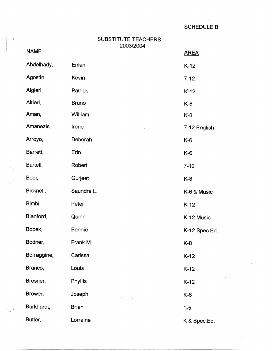SCHEDULE B

| <b>SUBSTITUTE TEACHERS</b> |
|----------------------------|
| 2003/2004                  |

|  | <b>NAME</b> |               | <b>AREA</b>   |
|--|-------------|---------------|---------------|
|  | Abdelhady,  | Eman          | $K-12$        |
|  | Agostin,    | Kevin         | $7 - 12$      |
|  | Algieri,    | Patrick       | $K-12$        |
|  | Altieri,    | <b>Bruno</b>  | $K-8$         |
|  | Aman,       | William       | K-8           |
|  | Amanezis,   | Irene         | 7-12 English  |
|  | Arroyo,     | Deborah       | $K-6$         |
|  | Barrett,    | Erin          | K-6           |
|  | Bartell,    | Robert        | $7 - 12$      |
|  | Bedi,       | Gurjeet       | K-8           |
|  | Bicknell,   | Saundra L.    | K-6 & Music   |
|  | Bimbi,      | Peter         | $K-12$        |
|  | Blanford,   | Quinn         | K-12 Music    |
|  | Bobek,      | <b>Bonnie</b> | K-12 Spec.Ed. |
|  | Bodner,     | Frank M.      | K-8           |
|  | Borraggine, | Carissa       | $K-12$        |
|  | Branco,     | Louis         | $K-12$        |
|  | Bresner,    | Phyllis       | $K-12$        |
|  | Brower,     | Joseph        | K-8           |
|  | Burkhardt,  | <b>Brian</b>  | $1 - 5$       |
|  | Butler,     | Lorraine      | K & Spec.Ed.  |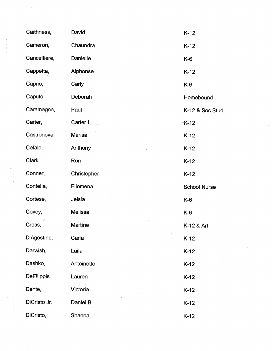| Caithness,        | David               | $K-12$              |
|-------------------|---------------------|---------------------|
| Cameron,          | Chaundra            | $K-12$              |
| Cancelliere,      | Danielle            | $K-6$               |
| Cappetta,         | Alphonse            | $K-12$              |
| Caprio,           | Carly               | $K-6$               |
| Caputo,           | Deborah             | Homebound           |
| Caramagna,        | Paul                | K-12 & Soc.Stud.    |
| Carter,           | Carter L.<br>$\sim$ | $-K-12$             |
| Castronova,       | <b>Marisa</b>       | $K-12$              |
| Cefalo,           | Anthony             | $K-12$              |
| Clark,            | Ron                 | $K-12$              |
| Conner,           | Christopher         | $K-12$              |
| Contella,         | Filomena            | <b>School Nurse</b> |
| Cortese,          | Jelsia              | $K-6$               |
| Covey,            | <b>Melissa</b>      | K-6                 |
| Cross,            | Martine             | K-12 & Art          |
| D'Agostino,       | Carla               | $K-12$              |
| Darwish,          | Laila               | $K-12$              |
| Dashko,           | Antoinette          | $K-12$              |
| <b>DeFilippis</b> | Lauren              | $K-12$              |
| Dente,            | Victoria            | $K-12$              |
| DiCristo Jr.,     | Daniel B.           | $K-12$              |
| DiCristo,         | Shanna              | $K-12$              |

 $\frac{1}{2} \frac{1}{2} \frac{1}{2}$ 

ing<br>Salah

 $\frac{1}{\sqrt{2}}\int_{0}^{\sqrt{2}}\frac{1}{\sqrt{2}}\left( \frac{1}{2}\left( \frac{1}{2}\right) ^{2}+\frac{1}{2}\left( \frac{1}{2}\right) ^{2}+\frac{1}{2}\left( \frac{1}{2}\right) ^{2}+\frac{1}{2}\left( \frac{1}{2}\right) ^{2}+\frac{1}{2}\left( \frac{1}{2}\right) ^{2}+\frac{1}{2}\left( \frac{1}{2}\right) ^{2}+\frac{1}{2}\left( \frac{1}{2}\right) ^{2}+\frac{1}{2}\left( \frac{1}{2}\right) ^{2}+\frac{1}{2}\left( \$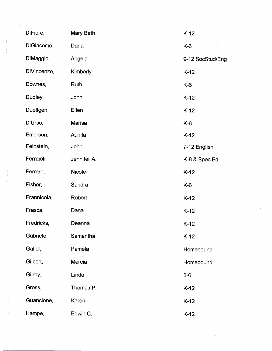| DiFiore,    | Mary Beth     | $K-12$           |
|-------------|---------------|------------------|
| DiGiacomo,  | Dana          | K-6              |
| DiMaggio,   | Angela        | 9-12 SocStud/Eng |
| DiVincenzo, | Kimberly      | $K-12$           |
| Downes,     | Ruth          | K-6              |
| Dudley,     | John          | $K-12$           |
| Dueltgen,   | Ellen         | $K-12$           |
| D'Urso,     | Marisa        | K-6              |
| Emerson,    | Aurilla       | $K-12$           |
| Feinstein,  | John          | 7-12 English     |
| Ferraioli,  | Jennifer A.   | K-8 & Spec.Ed.   |
| Ferraro,    | <b>Nicole</b> | $K-12$           |
| Fisher,     | Sandra        | $K-6$            |
| Frannicola, | Robert        | $K-12$           |
| Frasca,     | Dana          | $K-12$           |
| Fredricks,  | Deanna        | $K-12$           |
| Gabriele,   | Samantha      | $K-12$           |
| Gallof,     | Pamela        | Homebound        |
| Gilbert,    | Marcia        | Homebound        |
| Gilroy,     | Linda         | $3-6$            |
| Gross,      | Thomas P.     | $K-12$           |
| Guancione,  | Karen         | $K-12$           |
| Hampe,      | Edwin C.      | $K-12$           |

 $\mathcal{L}(\mathcal{L})$ 

 $\frac{1}{2}$ 

 $\frac{d}{dt} \left( \frac{d}{dt} \right)^2$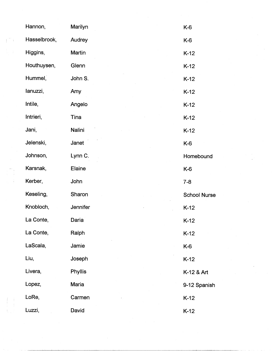|                                                      | Hannon,      | Marilyn  | $K-6$               |
|------------------------------------------------------|--------------|----------|---------------------|
| $\left( \begin{array}{c} 0 \\ 0 \end{array} \right)$ | Hasselbrook, | Audrey   | K-6                 |
|                                                      | Higgins,     | Martin   | $K-12$              |
|                                                      | Houthuysen,  | Glenn    | $K-12$              |
|                                                      | Hummel,      | John S.  | $K-12$              |
|                                                      | lanuzzi,     | Amy      | $K-12$              |
|                                                      | Intile,      | Angelo   | $K-12$              |
|                                                      | Intrieri,    | Tina     | $K-12$              |
|                                                      | Jani,        | Nalini   | $K-12$              |
|                                                      | Jelenski,    | Janet    | K-6                 |
|                                                      | Johnson,     | Lynn C.  | Homebound           |
|                                                      | Karsnak,     | Elaine   | K-6                 |
|                                                      | Kerber,      | John     | $7 - 8$             |
|                                                      | Keseling,    | Sharon   | <b>School Nurse</b> |
|                                                      | Knobloch,    | Jennifer | $K-12$              |
|                                                      | La Conte,    | Daria    | $K-12$              |
|                                                      | La Conte,    | Ralph    | $K-12$              |
|                                                      | LaScala,     | Jamie    | K-6                 |
|                                                      | Liu,         | Joseph   | $K-12$              |
|                                                      | Livera,      | Phyllis  | K-12 & Art          |
|                                                      | Lopez,       | Maria    | 9-12 Spanish        |
|                                                      | LoRe,        | Carmen   | $K-12$              |
|                                                      | Luzzi,       | David    | $K-12$              |

 $\label{eq:2.1} \frac{1}{\sqrt{2\pi}}\int_{\mathbb{R}^3}\frac{1}{\sqrt{2\pi}}\int_{\mathbb{R}^3}\frac{1}{\sqrt{2\pi}}\int_{\mathbb{R}^3}\frac{1}{\sqrt{2\pi}}\int_{\mathbb{R}^3}\frac{1}{\sqrt{2\pi}}\int_{\mathbb{R}^3}\frac{1}{\sqrt{2\pi}}\int_{\mathbb{R}^3}\frac{1}{\sqrt{2\pi}}\int_{\mathbb{R}^3}\frac{1}{\sqrt{2\pi}}\int_{\mathbb{R}^3}\frac{1}{\sqrt{2\pi}}\int_{\mathbb{R}^3}\frac{1$ 

 $\mathcal{A}^{\text{out}}_{\text{out}}$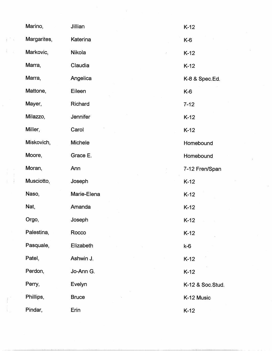|                                               | Marino,     | Jillian        | $K-12$           |
|-----------------------------------------------|-------------|----------------|------------------|
| $\mathbb{E}^{\mathbb{Z}}$ .<br><br>:<br><br>) | Margarites, | Katerina       | K-6              |
|                                               | Markovic,   | Nikola         | $K-12$           |
|                                               | Marra,      | Claudia        | $K-12$           |
|                                               | Marra,      | Angelica       | K-8 & Spec.Ed.   |
|                                               | Mattone,    | Eileen         | K-6              |
|                                               | Mayer,      | Richard        | $7 - 12$         |
|                                               | Milazzo,    | Jennifer       | $K-12$           |
|                                               | Miller,     | Carol          | $K-12$           |
|                                               | Miskovich,  | <b>Michele</b> | Homebound        |
|                                               | Moore,      | Grace E.       | Homebound        |
|                                               | Moran,      | Ann            | 7-12 Fren/Span   |
|                                               | Musciotto,  | Joseph         | $K-12$           |
|                                               | Naso,       | Marie-Elena    | $K-12$           |
|                                               | Nat,        | Amanda         | $K-12$           |
|                                               | Orgo,       | Joseph         | $K-12$           |
|                                               | Palestina,  | Rocco          | $K-12$           |
|                                               | Pasquale,   | Elizabeth      | $k-6$            |
|                                               | Patel,      | Ashwin J.      | $K-12$           |
|                                               | Perdon,     | Jo-Ann G.      | $K-12$           |
|                                               | Perry,      | Evelyn         | K-12 & Soc.Stud. |
|                                               | Phillips,   | <b>Bruce</b>   | K-12 Music       |
|                                               | Pindar,     | Erin           | $K-12$           |

 $\mathcal{L}_{\text{max}}$ 

 $\frac{1}{2}$ 

 $\hat{\boldsymbol{\beta}}$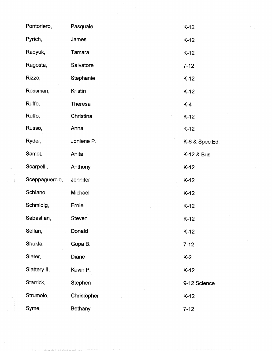| Pontoriero,    | Pasquale       | $K-12$         |
|----------------|----------------|----------------|
| Pyrich,        | James          | $K-12$         |
| Radyuk,        | <b>Tamara</b>  | $K-12$         |
| Ragosta,       | Salvatore      | $7 - 12$       |
| Rizzo,         | Stephanie      | $K-12$         |
| Rossman,       | Kristin        | $K-12$         |
| Ruffo,         | <b>Theresa</b> | $K-4$          |
| Ruffo,         | Christina      | $K-12$         |
| Russo,         | Anna           | $K-12$         |
| Ryder,         | Joniene P.     | K-6 & Spec.Ed. |
| Samet,         | Anita          | K-12 & Bus.    |
| Scarpelli,     | Anthony        | $K-12$         |
| Sceppaguercio, | Jennifer       | $K-12$         |
| Schiano,       | Michael        | $K-12$         |
| Schmidig,      | Ernie          | $K-12$         |
| Sebastian,     | Steven         | $K-12$         |
| Sellari,       | Donald         | $K-12$         |
| Shukla,        | Gopa B.        | $7 - 12$       |
| Slater,        | Diane          | $K-2$          |
| Slattery II,   | Kevin P.       | $K-12$         |
| Starrick,      | Stephen        | 9-12 Science   |
| Strumolo,      | Christopher    | $K-12$         |
| Syme,          | Bethany        | $7 - 12$       |

 $\frac{1}{2}$ 

 $\mathcal{A}^{\mathcal{A}}$ 

 $\int_{0}^{\frac{1}{\sqrt{2}}}\frac{1}{\sqrt{2}}\left(\frac{1}{2}\right)^{\frac{1}{2}}\left(\frac{1}{2}\right)^{\frac{1}{2}}\left(\frac{1}{2}\right)^{\frac{1}{2}}\left(\frac{1}{2}\right)^{\frac{1}{2}}\left(\frac{1}{2}\right)^{\frac{1}{2}}\left(\frac{1}{2}\right)^{\frac{1}{2}}\left(\frac{1}{2}\right)^{\frac{1}{2}}\left(\frac{1}{2}\right)^{\frac{1}{2}}\left(\frac{1}{2}\right)^{\frac{1}{2}}\left(\frac{1}{2}\right)^{\frac{1}{2}}\left(\frac{1}{2}\right)^{\frac{$ 

 $\frac{1}{2}$